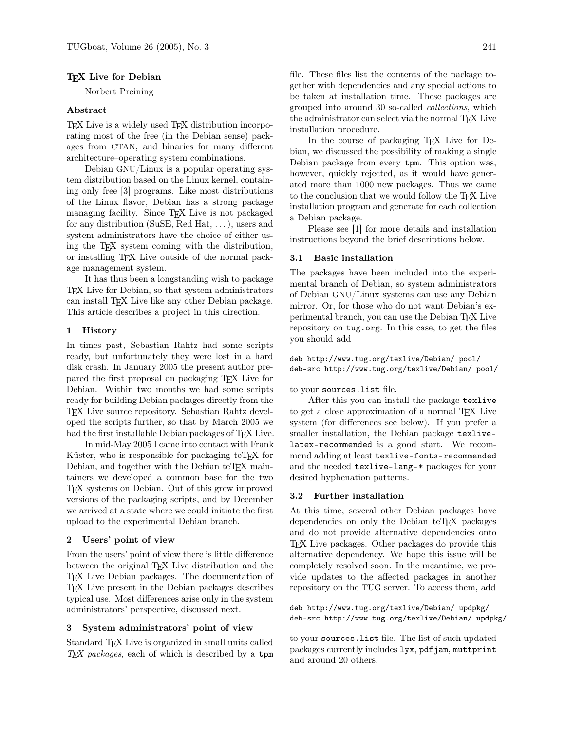#### T<sub>EX</sub> Live for Debian

Norbert Preining

#### Abstract

TEX Live is a widely used TEX distribution incorporating most of the free (in the Debian sense) packages from CTAN, and binaries for many different architecture–operating system combinations.

Debian GNU/Linux is a popular operating system distribution based on the Linux kernel, containing only free [3] programs. Like most distributions of the Linux flavor, Debian has a strong package managing facility. Since TEX Live is not packaged for any distribution (SuSE, Red Hat, . . . ), users and system administrators have the choice of either using the TEX system coming with the distribution, or installing TEX Live outside of the normal package management system.

It has thus been a longstanding wish to package TEX Live for Debian, so that system administrators can install TEX Live like any other Debian package. This article describes a project in this direction.

#### 1 History

In times past, Sebastian Rahtz had some scripts ready, but unfortunately they were lost in a hard disk crash. In January 2005 the present author prepared the first proposal on packaging TEX Live for Debian. Within two months we had some scripts ready for building Debian packages directly from the TEX Live source repository. Sebastian Rahtz developed the scripts further, so that by March 2005 we had the first installable Debian packages of TFX Live.

In mid-May 2005 I came into contact with Frank Küster, who is responsible for packaging teT<sub>E</sub>X for Debian, and together with the Debian teT<sub>E</sub>X maintainers we developed a common base for the two TEX systems on Debian. Out of this grew improved versions of the packaging scripts, and by December we arrived at a state where we could initiate the first upload to the experimental Debian branch.

### 2 Users' point of view

From the users' point of view there is little difference between the original T<sub>EX</sub> Live distribution and the TEX Live Debian packages. The documentation of TEX Live present in the Debian packages describes typical use. Most differences arise only in the system administrators' perspective, discussed next.

#### 3 System administrators' point of view

Standard TEX Live is organized in small units called  $TEX$  packages, each of which is described by a tpm

file. These files list the contents of the package together with dependencies and any special actions to be taken at installation time. These packages are grouped into around 30 so-called collections, which the administrator can select via the normal T<sub>EX</sub> Live installation procedure.

In the course of packaging T<sub>EX</sub> Live for Debian, we discussed the possibility of making a single Debian package from every tpm. This option was, however, quickly rejected, as it would have generated more than 1000 new packages. Thus we came to the conclusion that we would follow the TEX Live installation program and generate for each collection a Debian package.

Please see [1] for more details and installation instructions beyond the brief descriptions below.

#### 3.1 Basic installation

The packages have been included into the experimental branch of Debian, so system administrators of Debian GNU/Linux systems can use any Debian mirror. Or, for those who do not want Debian's experimental branch, you can use the Debian TEX Live repository on tug.org. In this case, to get the files you should add

deb http://www.tug.org/texlive/Debian/ pool/ deb-src http://www.tug.org/texlive/Debian/ pool/

#### to your sources.list file.

After this you can install the package texlive to get a close approximation of a normal T<sub>EX</sub> Live system (for differences see below). If you prefer a smaller installation, the Debian package texlivelatex-recommended is a good start. We recommend adding at least texlive-fonts-recommended and the needed texlive-lang-\* packages for your desired hyphenation patterns.

#### 3.2 Further installation

At this time, several other Debian packages have dependencies on only the Debian teT<sub>EX</sub> packages and do not provide alternative dependencies onto TEX Live packages. Other packages do provide this alternative dependency. We hope this issue will be completely resolved soon. In the meantime, we provide updates to the affected packages in another repository on the TUG server. To access them, add

deb http://www.tug.org/texlive/Debian/ updpkg/ deb-src http://www.tug.org/texlive/Debian/ updpkg/

to your sources.list file. The list of such updated packages currently includes lyx, pdfjam, muttprint and around 20 others.